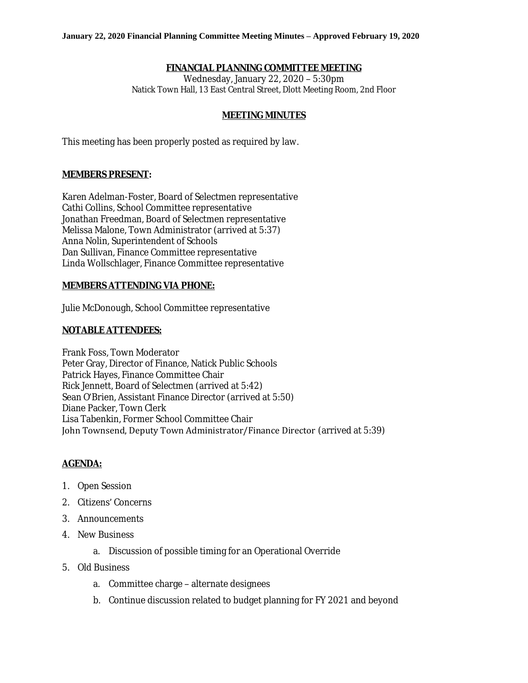### **FINANCIAL PLANNING COMMITTEE MEETING**

Wednesday, January 22, 2020 – 5:30pm Natick Town Hall, 13 East Central Street, Dlott Meeting Room, 2nd Floor

#### **MEETING MINUTES**

This meeting has been properly posted as required by law.

### **MEMBERS PRESENT:**

Karen Adelman-Foster, Board of Selectmen representative Cathi Collins, School Committee representative Jonathan Freedman, Board of Selectmen representative Melissa Malone, Town Administrator (arrived at 5:37) Anna Nolin, Superintendent of Schools Dan Sullivan, Finance Committee representative Linda Wollschlager, Finance Committee representative

### **MEMBERS ATTENDING VIA PHONE:**

Julie McDonough, School Committee representative

#### **NOTABLE ATTENDEES:**

Frank Foss, Town Moderator Peter Gray, Director of Finance, Natick Public Schools Patrick Hayes, Finance Committee Chair Rick Jennett, Board of Selectmen (arrived at 5:42) Sean O'Brien, Assistant Finance Director (arrived at 5:50) Diane Packer, Town Clerk Lisa Tabenkin, Former School Committee Chair John Townsend, Deputy Town Administrator/Finance Director (arrived at 5:39)

#### **AGENDA:**

- 1. Open Session
- 2. Citizens' Concerns
- 3. Announcements
- 4. New Business
	- a. Discussion of possible timing for an Operational Override
- 5. Old Business
	- a. Committee charge alternate designees
	- b. Continue discussion related to budget planning for FY 2021 and beyond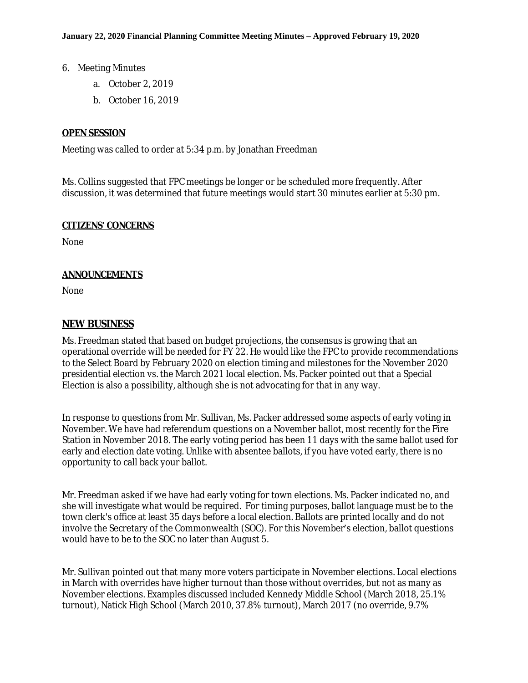- 6. Meeting Minutes
	- a. October 2, 2019
	- b. October 16, 2019

#### **OPEN SESSION**

Meeting was called to order at 5:34 p.m. by Jonathan Freedman

Ms. Collins suggested that FPC meetings be longer or be scheduled more frequently. After discussion, it was determined that future meetings would start 30 minutes earlier at 5:30 pm.

#### **CITIZENS' CONCERNS**

None

### **ANNOUNCEMENTS**

None

### **NEW BUSINESS**

Ms. Freedman stated that based on budget projections, the consensus is growing that an operational override will be needed for FY 22. He would like the FPC to provide recommendations to the Select Board by February 2020 on election timing and milestones for the November 2020 presidential election vs. the March 2021 local election. Ms. Packer pointed out that a Special Election is also a possibility, although she is not advocating for that in any way.

In response to questions from Mr. Sullivan, Ms. Packer addressed some aspects of early voting in November. We have had referendum questions on a November ballot, most recently for the Fire Station in November 2018. The early voting period has been 11 days with the same ballot used for early and election date voting. Unlike with absentee ballots, if you have voted early, there is no opportunity to call back your ballot.

Mr. Freedman asked if we have had early voting for town elections. Ms. Packer indicated no, and she will investigate what would be required. For timing purposes, ballot language must be to the town clerk's office at least 35 days before a local election. Ballots are printed locally and do not involve the Secretary of the Commonwealth (SOC). For this November's election, ballot questions would have to be to the SOC no later than August 5.

Mr. Sullivan pointed out that many more voters participate in November elections. Local elections in March with overrides have higher turnout than those without overrides, but not as many as November elections. Examples discussed included Kennedy Middle School (March 2018, 25.1% turnout), Natick High School (March 2010, 37.8% turnout), March 2017 (no override, 9.7%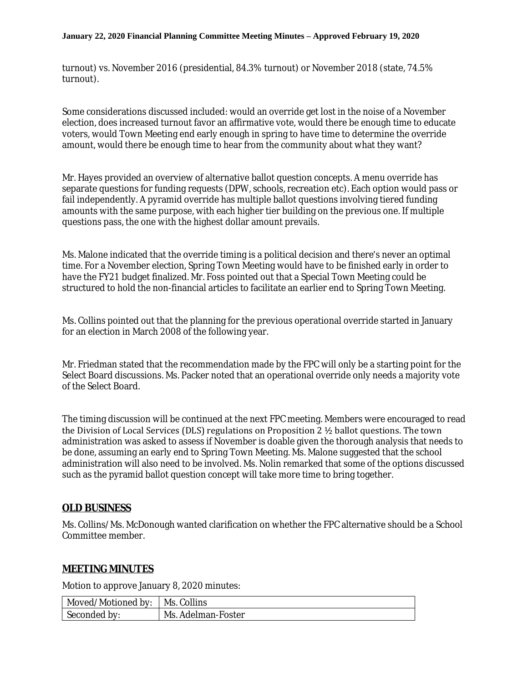turnout) vs. November 2016 (presidential, 84.3% turnout) or November 2018 (state, 74.5% turnout).

Some considerations discussed included: would an override get lost in the noise of a November election, does increased turnout favor an affirmative vote, would there be enough time to educate voters, would Town Meeting end early enough in spring to have time to determine the override amount, would there be enough time to hear from the community about what they want?

Mr. Hayes provided an overview of alternative ballot question concepts. A menu override has separate questions for funding requests (DPW, schools, recreation etc). Each option would pass or fail independently. A pyramid override has multiple ballot questions involving tiered funding amounts with the same purpose, with each higher tier building on the previous one. If multiple questions pass, the one with the highest dollar amount prevails.

Ms. Malone indicated that the override timing is a political decision and there's never an optimal time. For a November election, Spring Town Meeting would have to be finished early in order to have the FY21 budget finalized. Mr. Foss pointed out that a Special Town Meeting could be structured to hold the non-financial articles to facilitate an earlier end to Spring Town Meeting.

Ms. Collins pointed out that the planning for the previous operational override started in January for an election in March 2008 of the following year.

Mr. Friedman stated that the recommendation made by the FPC will only be a starting point for the Select Board discussions. Ms. Packer noted that an operational override only needs a majority vote of the Select Board.

The timing discussion will be continued at the next FPC meeting. Members were encouraged to read the Division of Local Services (DLS) regulations on Proposition 2 ½ ballot questions. The town administration was asked to assess if November is doable given the thorough analysis that needs to be done, assuming an early end to Spring Town Meeting. Ms. Malone suggested that the school administration will also need to be involved. Ms. Nolin remarked that some of the options discussed such as the pyramid ballot question concept will take more time to bring together.

## **OLD BUSINESS**

Ms. Collins/Ms. McDonough wanted clarification on whether the FPC alternative should be a School Committee member.

## **MEETING MINUTES**

Motion to approve January 8, 2020 minutes:

| Moved/Motioned by: | Ms. Collins        |
|--------------------|--------------------|
| Seconded by:       | Ms. Adelman-Foster |